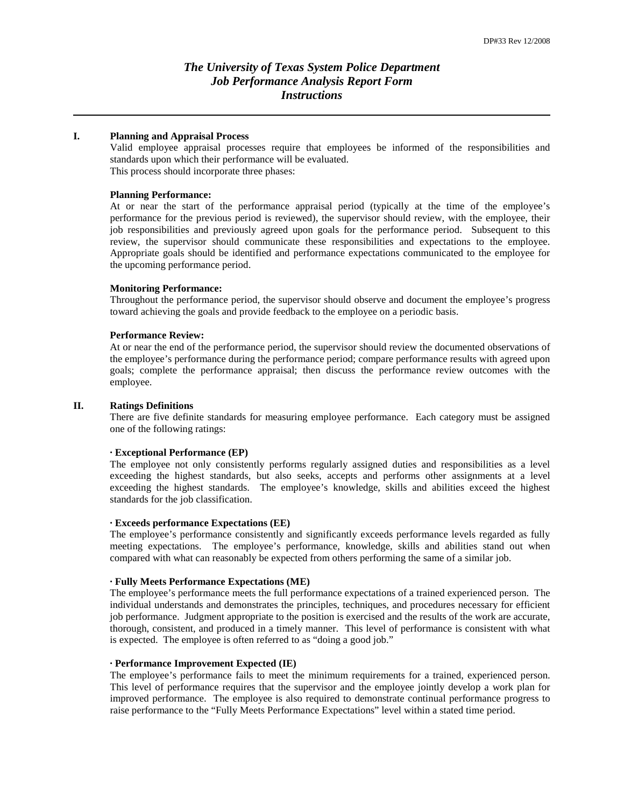# *The University of Texas System Police Department Job Performance Analysis Report Form Instructions*

## **I. Planning and Appraisal Process**

Valid employee appraisal processes require that employees be informed of the responsibilities and standards upon which their performance will be evaluated. This process should incorporate three phases:

## **Planning Performance:**

At or near the start of the performance appraisal period (typically at the time of the employee's performance for the previous period is reviewed), the supervisor should review, with the employee, their job responsibilities and previously agreed upon goals for the performance period. Subsequent to this review, the supervisor should communicate these responsibilities and expectations to the employee. Appropriate goals should be identified and performance expectations communicated to the employee for the upcoming performance period.

## **Monitoring Performance:**

Throughout the performance period, the supervisor should observe and document the employee's progress toward achieving the goals and provide feedback to the employee on a periodic basis.

# **Performance Review:**

At or near the end of the performance period, the supervisor should review the documented observations of the employee's performance during the performance period; compare performance results with agreed upon goals; complete the performance appraisal; then discuss the performance review outcomes with the employee.

# **II. Ratings Definitions**

There are five definite standards for measuring employee performance. Each category must be assigned one of the following ratings:

# **∙ Exceptional Performance (EP)**

The employee not only consistently performs regularly assigned duties and responsibilities as a level exceeding the highest standards, but also seeks, accepts and performs other assignments at a level exceeding the highest standards. The employee's knowledge, skills and abilities exceed the highest standards for the job classification.

# **∙ Exceeds performance Expectations (EE)**

The employee's performance consistently and significantly exceeds performance levels regarded as fully meeting expectations. The employee's performance, knowledge, skills and abilities stand out when compared with what can reasonably be expected from others performing the same of a similar job.

## **∙ Fully Meets Performance Expectations (ME)**

The employee's performance meets the full performance expectations of a trained experienced person. The individual understands and demonstrates the principles, techniques, and procedures necessary for efficient job performance. Judgment appropriate to the position is exercised and the results of the work are accurate, thorough, consistent, and produced in a timely manner. This level of performance is consistent with what is expected. The employee is often referred to as "doing a good job."

#### **∙ Performance Improvement Expected (IE)**

The employee's performance fails to meet the minimum requirements for a trained, experienced person. This level of performance requires that the supervisor and the employee jointly develop a work plan for improved performance. The employee is also required to demonstrate continual performance progress to raise performance to the "Fully Meets Performance Expectations" level within a stated time period.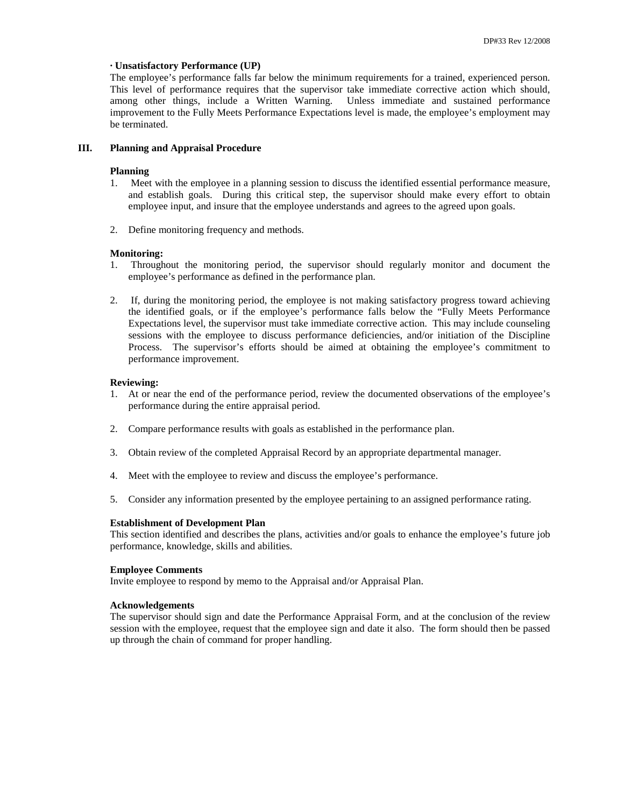# **∙ Unsatisfactory Performance (UP)**

The employee's performance falls far below the minimum requirements for a trained, experienced person. This level of performance requires that the supervisor take immediate corrective action which should, among other things, include a Written Warning. Unless immediate and sustained performance improvement to the Fully Meets Performance Expectations level is made, the employee's employment may be terminated.

# **III. Planning and Appraisal Procedure**

## **Planning**

- 1. Meet with the employee in a planning session to discuss the identified essential performance measure, and establish goals. During this critical step, the supervisor should make every effort to obtain employee input, and insure that the employee understands and agrees to the agreed upon goals.
- 2. Define monitoring frequency and methods.

## **Monitoring:**

- 1. Throughout the monitoring period, the supervisor should regularly monitor and document the employee's performance as defined in the performance plan.
- 2. If, during the monitoring period, the employee is not making satisfactory progress toward achieving the identified goals, or if the employee's performance falls below the "Fully Meets Performance Expectations level, the supervisor must take immediate corrective action. This may include counseling sessions with the employee to discuss performance deficiencies, and/or initiation of the Discipline Process. The supervisor's efforts should be aimed at obtaining the employee's commitment to performance improvement.

# **Reviewing:**

- 1. At or near the end of the performance period, review the documented observations of the employee's performance during the entire appraisal period.
- 2. Compare performance results with goals as established in the performance plan.
- 3. Obtain review of the completed Appraisal Record by an appropriate departmental manager.
- 4. Meet with the employee to review and discuss the employee's performance.
- 5. Consider any information presented by the employee pertaining to an assigned performance rating.

## **Establishment of Development Plan**

This section identified and describes the plans, activities and/or goals to enhance the employee's future job performance, knowledge, skills and abilities.

## **Employee Comments**

Invite employee to respond by memo to the Appraisal and/or Appraisal Plan.

## **Acknowledgements**

The supervisor should sign and date the Performance Appraisal Form, and at the conclusion of the review session with the employee, request that the employee sign and date it also. The form should then be passed up through the chain of command for proper handling.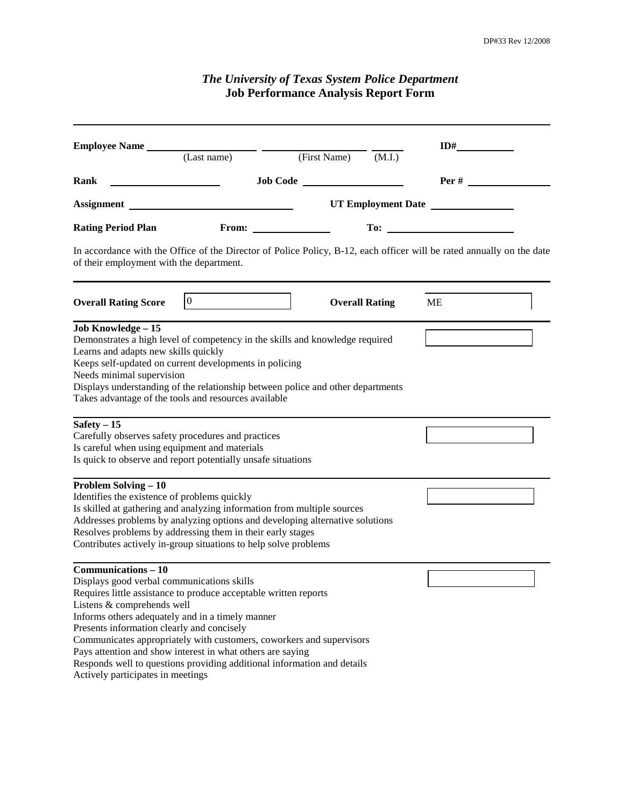| <b>The University of Texas System Police Department</b><br><b>Job Performance Analysis Report Form</b>                                                                                                                                                                                                                                                                                                                                                                                                                             |                                                                 |  |                       |     |                   |
|------------------------------------------------------------------------------------------------------------------------------------------------------------------------------------------------------------------------------------------------------------------------------------------------------------------------------------------------------------------------------------------------------------------------------------------------------------------------------------------------------------------------------------|-----------------------------------------------------------------|--|-----------------------|-----|-------------------|
| Employee Name (Last name) (First Name)                                                                                                                                                                                                                                                                                                                                                                                                                                                                                             |                                                                 |  |                       | ID# |                   |
|                                                                                                                                                                                                                                                                                                                                                                                                                                                                                                                                    |                                                                 |  | (M.I.)                |     |                   |
| Rank<br><u> 1989 - Johann Barbara, martin a</u>                                                                                                                                                                                                                                                                                                                                                                                                                                                                                    |                                                                 |  |                       |     | $\textbf{Per} \#$ |
| UT Employment Date<br>Assignment                                                                                                                                                                                                                                                                                                                                                                                                                                                                                                   |                                                                 |  |                       |     |                   |
| <b>Rating Period Plan</b>                                                                                                                                                                                                                                                                                                                                                                                                                                                                                                          |                                                                 |  |                       |     |                   |
| In accordance with the Office of the Director of Police Policy, B-12, each officer will be rated annually on the date<br>of their employment with the department.                                                                                                                                                                                                                                                                                                                                                                  |                                                                 |  |                       |     |                   |
| <b>Overall Rating Score</b>                                                                                                                                                                                                                                                                                                                                                                                                                                                                                                        | $\overline{0}$<br><u> 1989 - Johann Stein, fransk politiker</u> |  | <b>Overall Rating</b> | ME  |                   |
| Job Knowledge - 15<br>Demonstrates a high level of competency in the skills and knowledge required<br>Learns and adapts new skills quickly<br>Keeps self-updated on current developments in policing<br>Needs minimal supervision<br>Displays understanding of the relationship between police and other departments<br>Takes advantage of the tools and resources available<br>Safety $-\overline{15}$<br>Carefully observes safety procedures and practices<br>Is careful when using equipment and materials                     |                                                                 |  |                       |     |                   |
| Is quick to observe and report potentially unsafe situations<br><b>Problem Solving - 10</b><br>Identifies the existence of problems quickly<br>Is skilled at gathering and analyzing information from multiple sources<br>Addresses problems by analyzing options and developing alternative solutions<br>Resolves problems by addressing them in their early stages<br>Contributes actively in-group situations to help solve problems                                                                                            |                                                                 |  |                       |     |                   |
| <b>Communications - 10</b><br>Displays good verbal communications skills<br>Requires little assistance to produce acceptable written reports<br>Listens & comprehends well<br>Informs others adequately and in a timely manner<br>Presents information clearly and concisely<br>Communicates appropriately with customers, coworkers and supervisors<br>Pays attention and show interest in what others are saying<br>Responds well to questions providing additional information and details<br>Actively participates in meetings |                                                                 |  |                       |     |                   |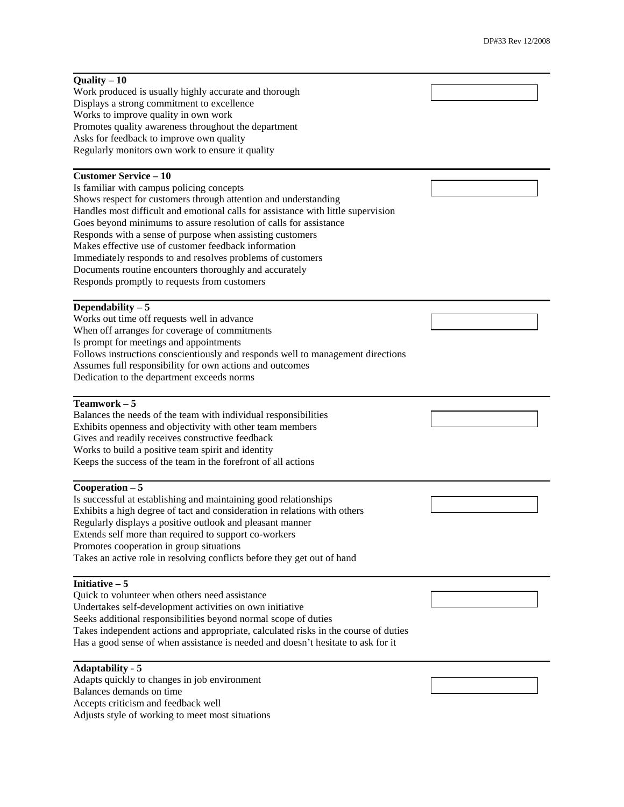| Quality $-10$                                                                                                       |  |  |  |  |
|---------------------------------------------------------------------------------------------------------------------|--|--|--|--|
| Work produced is usually highly accurate and thorough                                                               |  |  |  |  |
| Displays a strong commitment to excellence                                                                          |  |  |  |  |
| Works to improve quality in own work                                                                                |  |  |  |  |
| Promotes quality awareness throughout the department                                                                |  |  |  |  |
| Asks for feedback to improve own quality                                                                            |  |  |  |  |
| Regularly monitors own work to ensure it quality                                                                    |  |  |  |  |
| <b>Customer Service - 10</b>                                                                                        |  |  |  |  |
| Is familiar with campus policing concepts                                                                           |  |  |  |  |
| Shows respect for customers through attention and understanding                                                     |  |  |  |  |
| Handles most difficult and emotional calls for assistance with little supervision                                   |  |  |  |  |
| Goes beyond minimums to assure resolution of calls for assistance                                                   |  |  |  |  |
| Responds with a sense of purpose when assisting customers                                                           |  |  |  |  |
| Makes effective use of customer feedback information                                                                |  |  |  |  |
| Immediately responds to and resolves problems of customers                                                          |  |  |  |  |
| Documents routine encounters thoroughly and accurately                                                              |  |  |  |  |
| Responds promptly to requests from customers                                                                        |  |  |  |  |
| Dependability $-5$                                                                                                  |  |  |  |  |
| Works out time off requests well in advance                                                                         |  |  |  |  |
| When off arranges for coverage of commitments                                                                       |  |  |  |  |
| Is prompt for meetings and appointments                                                                             |  |  |  |  |
| Follows instructions conscientiously and responds well to management directions                                     |  |  |  |  |
| Assumes full responsibility for own actions and outcomes                                                            |  |  |  |  |
| Dedication to the department exceeds norms                                                                          |  |  |  |  |
|                                                                                                                     |  |  |  |  |
| Teamwork $-5$                                                                                                       |  |  |  |  |
| Balances the needs of the team with individual responsibilities                                                     |  |  |  |  |
| Exhibits openness and objectivity with other team members                                                           |  |  |  |  |
| Gives and readily receives constructive feedback                                                                    |  |  |  |  |
| Works to build a positive team spirit and identity<br>Keeps the success of the team in the forefront of all actions |  |  |  |  |
|                                                                                                                     |  |  |  |  |
| $Cooperation - 5$                                                                                                   |  |  |  |  |
| Is successful at establishing and maintaining good relationships                                                    |  |  |  |  |
| Exhibits a high degree of tact and consideration in relations with others                                           |  |  |  |  |
| Regularly displays a positive outlook and pleasant manner                                                           |  |  |  |  |
| Extends self more than required to support co-workers                                                               |  |  |  |  |
| Promotes cooperation in group situations                                                                            |  |  |  |  |
| Takes an active role in resolving conflicts before they get out of hand                                             |  |  |  |  |
| Initiative $-5$                                                                                                     |  |  |  |  |
| Quick to volunteer when others need assistance                                                                      |  |  |  |  |
| Undertakes self-development activities on own initiative                                                            |  |  |  |  |
| Seeks additional responsibilities beyond normal scope of duties                                                     |  |  |  |  |
|                                                                                                                     |  |  |  |  |
| Takes independent actions and appropriate, calculated risks in the course of duties                                 |  |  |  |  |
| Has a good sense of when assistance is needed and doesn't hesitate to ask for it                                    |  |  |  |  |
|                                                                                                                     |  |  |  |  |
| <b>Adaptability - 5</b>                                                                                             |  |  |  |  |
| Adapts quickly to changes in job environment                                                                        |  |  |  |  |
| Balances demands on time<br>Accepts criticism and feedback well                                                     |  |  |  |  |